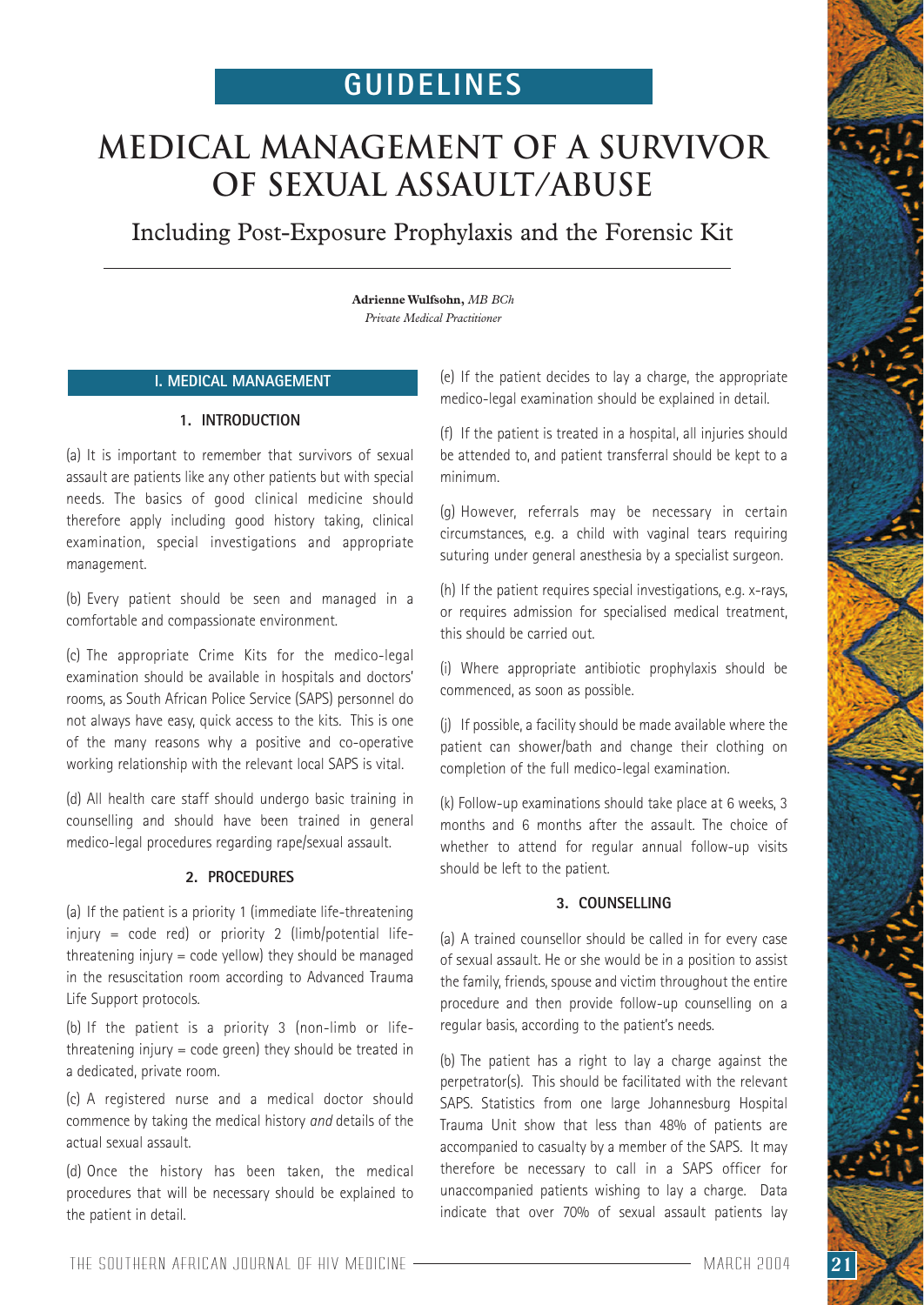# **GUIDELINES**

# **Medical management of a survivor of sexual assault/abuse**

Including Post-Exposure Prophylaxis and the Forensic Kit

**Adrienne Wulfsohn,** *MB BCh Private Medical Practitioner*

# **I. MEDICAL MANAGEMENT**

# **1. INTRODUCTION**

(a) It is important to remember that survivors of sexual assault are patients like any other patients but with special needs. The basics of good clinical medicine should therefore apply including good history taking, clinical examination, special investigations and appropriate management.

(b) Every patient should be seen and managed in a comfortable and compassionate environment.

(c) The appropriate Crime Kits for the medico-legal examination should be available in hospitals and doctors' rooms, as South African Police Service (SAPS) personnel do not always have easy, quick access to the kits. This is one of the many reasons why a positive and co-operative working relationship with the relevant local SAPS is vital.

(d) All health care staff should undergo basic training in counselling and should have been trained in general medico-legal procedures regarding rape/sexual assault.

# **2. PROCEDURES**

(a) If the patient is a priority 1 (immediate life-threatening injury = code red) or priority 2 (limb/potential lifethreatening injury  $=$  code yellow) they should be managed in the resuscitation room according to Advanced Trauma Life Support protocols.

(b) If the patient is a priority 3 (non-limb or lifethreatening injury = code green) they should be treated in a dedicated, private room.

(c) A registered nurse and a medical doctor should commence by taking the medical history *and* details of the actual sexual assault.

(d) Once the history has been taken, the medical procedures that will be necessary should be explained to the patient in detail.

(e) If the patient decides to lay a charge, the appropriate medico-legal examination should be explained in detail.

(f) If the patient is treated in a hospital, all injuries should be attended to, and patient transferral should be kept to a minimum.

(g) However, referrals may be necessary in certain circumstances, e.g. a child with vaginal tears requiring suturing under general anesthesia by a specialist surgeon.

(h) If the patient requires special investigations, e.g. x-rays, or requires admission for specialised medical treatment, this should be carried out.

(i) Where appropriate antibiotic prophylaxis should be commenced, as soon as possible.

(j) If possible, a facility should be made available where the patient can shower/bath and change their clothing on completion of the full medico-legal examination.

(k) Follow-up examinations should take place at 6 weeks, 3 months and 6 months after the assault. The choice of whether to attend for regular annual follow-up visits should be left to the patient.

### **3. COUNSELLING**

(a) A trained counsellor should be called in for every case of sexual assault. He or she would be in a position to assist the family, friends, spouse and victim throughout the entire procedure and then provide follow-up counselling on a regular basis, according to the patient's needs.

(b) The patient has a right to lay a charge against the perpetrator(s). This should be facilitated with the relevant SAPS. Statistics from one large Johannesburg Hospital Trauma Unit show that less than 48% of patients are accompanied to casualty by a member of the SAPS. It may therefore be necessary to call in a SAPS officer for unaccompanied patients wishing to lay a charge. Data indicate that over 70% of sexual assault patients lay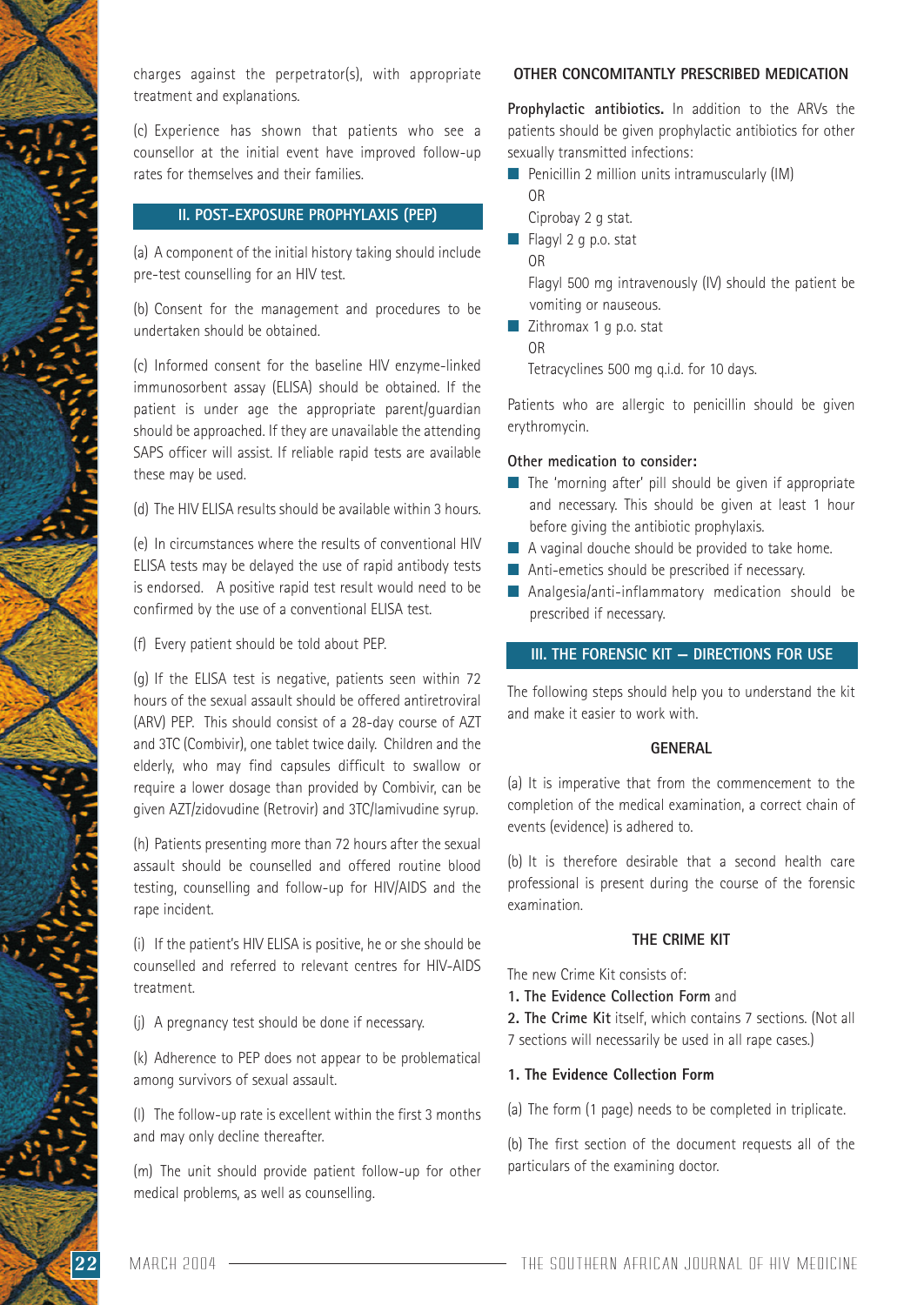charges against the perpetrator(s), with appropriate treatment and explanations.

(c) Experience has shown that patients who see a counsellor at the initial event have improved follow-up rates for themselves and their families.

# **II. POST-EXPOSURE PROPHYLAXIS (PEP)**

(a) A component of the initial history taking should include pre-test counselling for an HIV test.

(b) Consent for the management and procedures to be undertaken should be obtained.

(c) Informed consent for the baseline HIV enzyme-linked immunosorbent assay (ELISA) should be obtained. If the patient is under age the appropriate parent/guardian should be approached. If they are unavailable the attending SAPS officer will assist. If reliable rapid tests are available these may be used.

(d) The HIV ELISA results should be available within 3 hours.

(e) In circumstances where the results of conventional HIV ELISA tests may be delayed the use of rapid antibody tests is endorsed. A positive rapid test result would need to be confirmed by the use of a conventional ELISA test.

(f) Every patient should be told about PEP.

(g) If the ELISA test is negative, patients seen within 72 hours of the sexual assault should be offered antiretroviral (ARV) PEP. This should consist of a 28-day course of AZT and 3TC (Combivir), one tablet twice daily. Children and the elderly, who may find capsules difficult to swallow or require a lower dosage than provided by Combivir, can be given AZT/zidovudine (Retrovir) and 3TC/lamivudine syrup.

(h) Patients presenting more than 72 hours after the sexual assault should be counselled and offered routine blood testing, counselling and follow-up for HIV/AIDS and the rape incident.

(i) If the patient's HIV ELISA is positive, he or she should be counselled and referred to relevant centres for HIV-AIDS treatment.

(j) A pregnancy test should be done if necessary.

(k) Adherence to PEP does not appear to be problematical among survivors of sexual assault.

(l) The follow-up rate is excellent within the first 3 months and may only decline thereafter.

(m) The unit should provide patient follow-up for other medical problems, as well as counselling.

### **OTHER CONCOMITANTLY PRESCRIBED MEDICATION**

**Prophylactic antibiotics.** In addition to the ARVs the patients should be given prophylactic antibiotics for other sexually transmitted infections:

- $\blacksquare$  Penicillin 2 million units intramuscularly (IM) OR
	- Ciprobay 2 g stat.
- Flagyl 2 g p.o. stat
	- OR

Flagyl 500 mg intravenously (IV) should the patient be vomiting or nauseous.

■ Zithromax 1 g p.o. stat OR

Tetracyclines 500 mg q.i.d. for 10 days.

Patients who are allergic to penicillin should be given erythromycin.

# **Other medication to consider:**

- The 'morning after' pill should be given if appropriate and necessary. This should be given at least 1 hour before giving the antibiotic prophylaxis.
- A vaginal douche should be provided to take home.
- Anti-emetics should be prescribed if necessary.
- Analgesia/anti-inflammatory medication should be prescribed if necessary.

#### **III. THE FORENSIC KIT — DIRECTIONS FOR USE**

The following steps should help you to understand the kit and make it easier to work with.

#### **GENERAL**

(a) It is imperative that from the commencement to the completion of the medical examination, a correct chain of events (evidence) is adhered to.

(b) It is therefore desirable that a second health care professional is present during the course of the forensic examination.

#### **THE CRIME KIT**

The new Crime Kit consists of:

- **1. The Evidence Collection Form** and
- **2. The Crime Kit** itself, which contains 7 sections. (Not all
- 7 sections will necessarily be used in all rape cases.)

#### **1. The Evidence Collection Form**

(a) The form (1 page) needs to be completed in triplicate.

(b) The first section of the document requests all of the particulars of the examining doctor.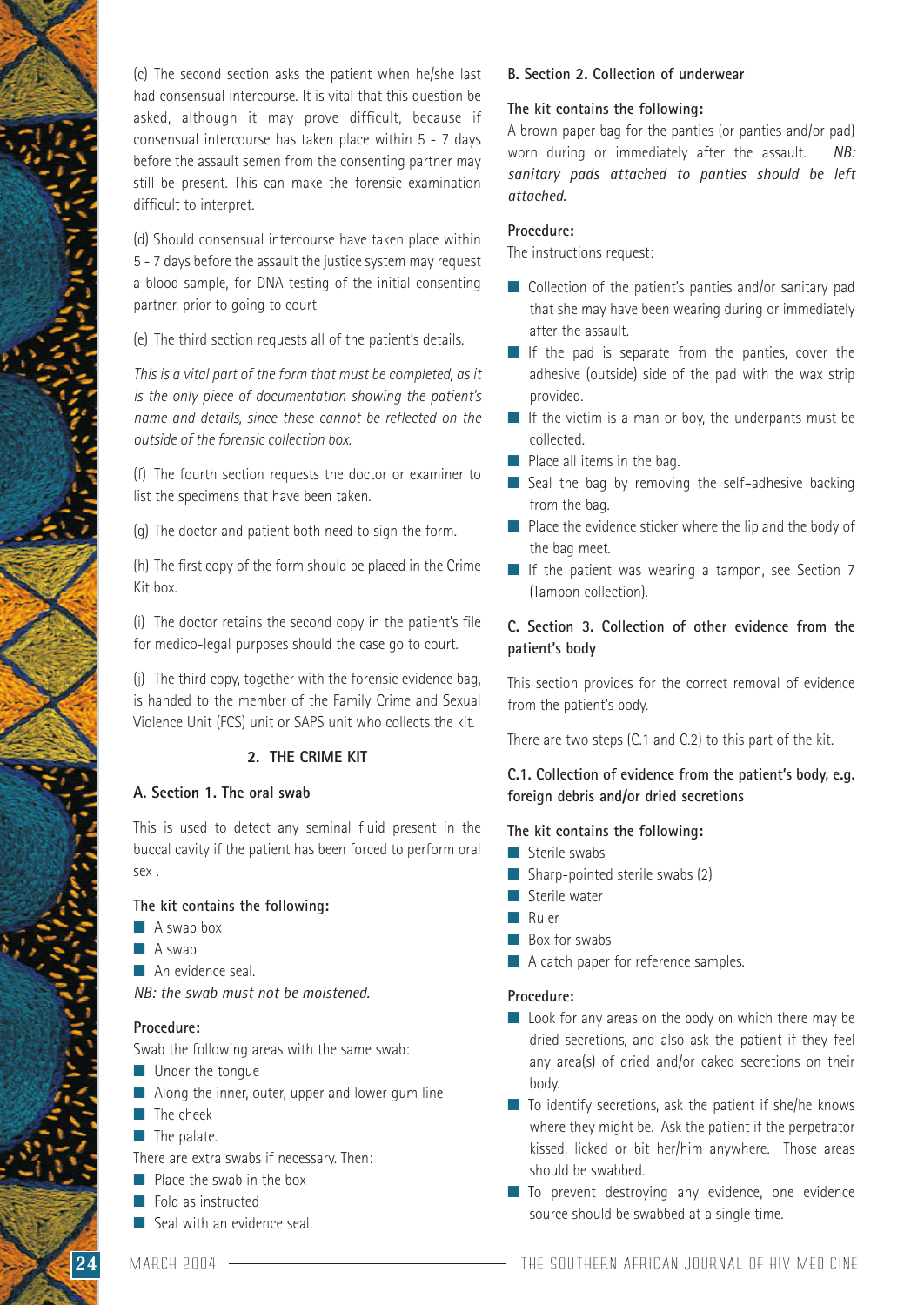(c) The second section asks the patient when he/she last had consensual intercourse. It is vital that this question be asked, although it may prove difficult, because if consensual intercourse has taken place within 5 - 7 days before the assault semen from the consenting partner may still be present. This can make the forensic examination difficult to interpret.

(d) Should consensual intercourse have taken place within 5 - 7 days before the assault the justice system may request a blood sample, for DNA testing of the initial consenting partner, prior to going to court

(e) The third section requests all of the patient's details.

*This is a vital part of the form that must be completed, as it is the only piece of documentation showing the patient's name and details, since these cannot be reflected on the outside of the forensic collection box.*

(f) The fourth section requests the doctor or examiner to list the specimens that have been taken.

(g) The doctor and patient both need to sign the form.

(h) The first copy of the form should be placed in the Crime Kit box.

(i) The doctor retains the second copy in the patient's file for medico-legal purposes should the case go to court.

(j) The third copy, together with the forensic evidence bag, is handed to the member of the Family Crime and Sexual Violence Unit (FCS) unit or SAPS unit who collects the kit.

# **2. THE CRIME KIT**

# **A. Section 1. The oral swab**

This is used to detect any seminal fluid present in the buccal cavity if the patient has been forced to perform oral sex .

# **The kit contains the following:**

- A swab box
- A swab
- An evidence seal.

*NB: the swab must not be moistened.*

#### **Procedure:**

Swab the following areas with the same swab:

- Under the tongue
- Along the inner, outer, upper and lower gum line
- The cheek
- The palate.

There are extra swabs if necessary. Then:

- Place the swab in the box
- Fold as instructed
- Seal with an evidence seal.

# **B. Section 2. Collection of underwear**

#### **The kit contains the following:**

A brown paper bag for the panties (or panties and/or pad) worn during or immediately after the assault. *NB: sanitary pads attached to panties should be left attached.*

# **Procedure:**

The instructions request:

- Collection of the patient's panties and/or sanitary pad that she may have been wearing during or immediately after the assault.
- If the pad is separate from the panties, cover the adhesive (outside) side of the pad with the wax strip provided.
- If the victim is a man or boy, the underpants must be collected.
- Place all items in the bag.
- Seal the bag by removing the self-adhesive backing from the bag.
- Place the evidence sticker where the lip and the body of the bag meet.
- If the patient was wearing a tampon, see Section 7 (Tampon collection).

# **C. Section 3. Collection of other evidence from the patient's body**

This section provides for the correct removal of evidence from the patient's body.

There are two steps (C.1 and C.2) to this part of the kit.

# **C.1. Collection of evidence from the patient's body, e.g. foreign debris and/or dried secretions**

#### **The kit contains the following:**

- Sterile swabs
- Sharp-pointed sterile swabs (2)
- Sterile water
- Ruler
- Box for swabs
- A catch paper for reference samples.

#### **Procedure:**

- Look for any areas on the body on which there may be dried secretions, and also ask the patient if they feel any area(s) of dried and/or caked secretions on their body.
- To identify secretions, ask the patient if she/he knows where they might be. Ask the patient if the perpetrator kissed, licked or bit her/him anywhere. Those areas should be swabbed.
- To prevent destroying any evidence, one evidence source should be swabbed at a single time.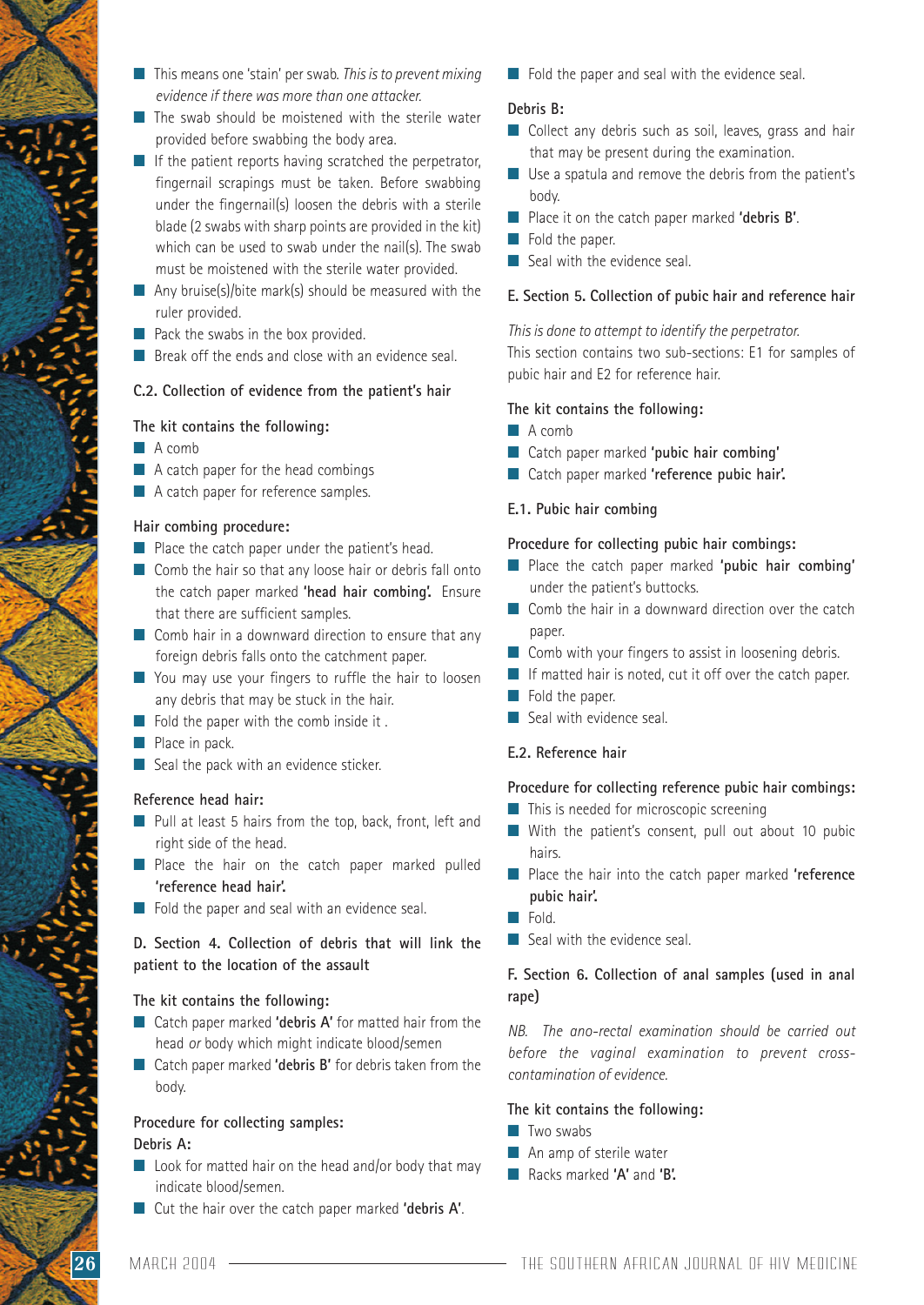- This means one 'stain' per swab. *This is to prevent mixing evidence if there was more than one attacker.*
- The swab should be moistened with the sterile water provided before swabbing the body area.
- $\blacksquare$  If the patient reports having scratched the perpetrator, fingernail scrapings must be taken. Before swabbing under the fingernail(s) loosen the debris with a sterile blade (2 swabs with sharp points are provided in the kit) which can be used to swab under the nail(s). The swab must be moistened with the sterile water provided.
- $\blacksquare$  Any bruise(s)/bite mark(s) should be measured with the ruler provided.
- Pack the swabs in the box provided.
- Break off the ends and close with an evidence seal.

#### **C.2. Collection of evidence from the patient's hair**

#### **The kit contains the following:**

- A comb
- A catch paper for the head combings
- A catch paper for reference samples.

#### **Hair combing procedure:**

- Place the catch paper under the patient's head.
- Comb the hair so that any loose hair or debris fall onto the catch paper marked **'head hair combing'.** Ensure that there are sufficient samples.
- Comb hair in a downward direction to ensure that any foreign debris falls onto the catchment paper.
- You may use your fingers to ruffle the hair to loosen any debris that may be stuck in the hair.
- $\blacksquare$  Fold the paper with the comb inside it.
- Place in pack.
- Seal the pack with an evidence sticker.

#### **Reference head hair:**

- Pull at least 5 hairs from the top, back, front, left and right side of the head.
- Place the hair on the catch paper marked pulled **'reference head hair'.**
- Fold the paper and seal with an evidence seal.

# **D. Section 4. Collection of debris that will link the patient to the location of the assault**

#### **The kit contains the following:**

- Catch paper marked **'debris A'** for matted hair from the head *or* body which might indicate blood/semen
- Catch paper marked **'debris B'** for debris taken from the body.

# **Procedure for collecting samples:**

#### **Debris A:**

- $\Box$  Look for matted hair on the head and/or body that may indicate blood/semen.
- Cut the hair over the catch paper marked **'debris A'**.

■ Fold the paper and seal with the evidence seal.

#### **Debris B:**

- Collect any debris such as soil, leaves, grass and hair that may be present during the examination.
- Use a spatula and remove the debris from the patient's body.
- Place it on the catch paper marked 'debris **B'**.
- Fold the paper.
- Seal with the evidence seal.

#### **E. Section 5. Collection of pubic hair and reference hair**

*This is done to attempt to identify the perpetrator.*

This section contains two sub-sections: E1 for samples of pubic hair and E2 for reference hair.

#### **The kit contains the following:**

#### ■ A comb

- Catch paper marked 'pubic hair combing'
- Catch paper marked 'reference pubic hair'.

#### **E.1. Pubic hair combing**

#### **Procedure for collecting pubic hair combings:**

- Place the catch paper marked **'pubic hair combing'** under the patient's buttocks.
- Comb the hair in a downward direction over the catch paper.
- Comb with your fingers to assist in loosening debris.
- If matted hair is noted, cut it off over the catch paper.
- Fold the paper.
- Seal with evidence seal.

#### **E.2. Reference hair**

#### **Procedure for collecting reference pubic hair combings:**

- This is needed for microscopic screening
- With the patient's consent, pull out about 10 pubic hairs.
- Place the hair into the catch paper marked 'reference **pubic hair'.**
- Fold.
- Seal with the evidence seal.

# **F. Section 6. Collection of anal samples (used in anal rape)**

*NB. The ano-rectal examination should be carried out before the vaginal examination to prevent crosscontamination of evidence.*

# **The kit contains the following:**

- Two swabs
- An amp of sterile water
- Racks marked **'A'** and **'B'.**